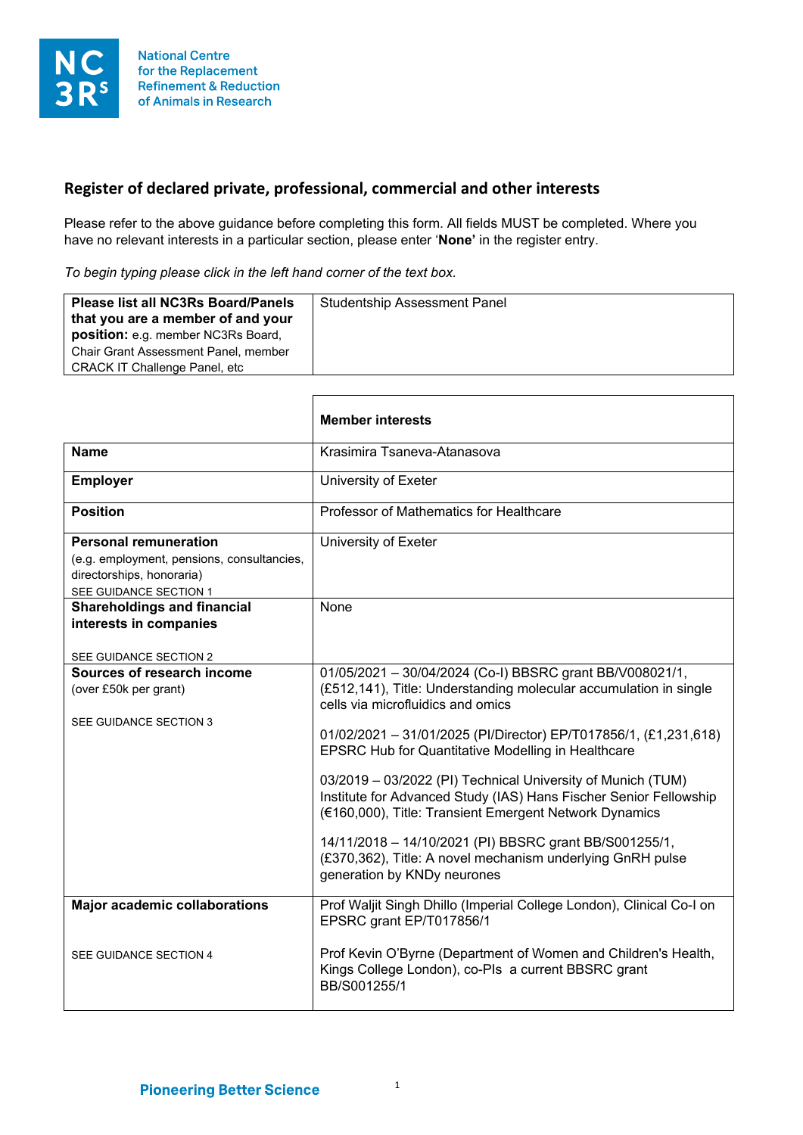

## **Register of declared private, professional, commercial and other interests**

Г

Please refer to the above guidance before completing this form. All fields MUST be completed. Where you have no relevant interests in a particular section, please enter '**None'** in the register entry.

*To begin typing please click in the left hand corner of the text box.*

| Chair Grant Assessment Panel, member<br><b>CRACK IT Challenge Panel, etc</b> | <b>Please list all NC3Rs Board/Panels</b><br>that you are a member of and your<br>position: e.g. member NC3Rs Board, | <b>Studentship Assessment Panel</b> |
|------------------------------------------------------------------------------|----------------------------------------------------------------------------------------------------------------------|-------------------------------------|
|------------------------------------------------------------------------------|----------------------------------------------------------------------------------------------------------------------|-------------------------------------|

٦

|                                                                                                                                   | <b>Member interests</b>                                                                                                                                                                                                                                                                                                                                                                                                                                                                                                                                                                                                                                  |
|-----------------------------------------------------------------------------------------------------------------------------------|----------------------------------------------------------------------------------------------------------------------------------------------------------------------------------------------------------------------------------------------------------------------------------------------------------------------------------------------------------------------------------------------------------------------------------------------------------------------------------------------------------------------------------------------------------------------------------------------------------------------------------------------------------|
| <b>Name</b>                                                                                                                       | Krasimira Tsaneva-Atanasova                                                                                                                                                                                                                                                                                                                                                                                                                                                                                                                                                                                                                              |
| <b>Employer</b>                                                                                                                   | University of Exeter                                                                                                                                                                                                                                                                                                                                                                                                                                                                                                                                                                                                                                     |
| <b>Position</b>                                                                                                                   | Professor of Mathematics for Healthcare                                                                                                                                                                                                                                                                                                                                                                                                                                                                                                                                                                                                                  |
| <b>Personal remuneration</b><br>(e.g. employment, pensions, consultancies,<br>directorships, honoraria)<br>SEE GUIDANCE SECTION 1 | University of Exeter                                                                                                                                                                                                                                                                                                                                                                                                                                                                                                                                                                                                                                     |
| <b>Shareholdings and financial</b><br>interests in companies<br>SEE GUIDANCE SECTION 2                                            | None                                                                                                                                                                                                                                                                                                                                                                                                                                                                                                                                                                                                                                                     |
| Sources of research income<br>(over £50k per grant)<br>SEE GUIDANCE SECTION 3                                                     | 01/05/2021 - 30/04/2024 (Co-I) BBSRC grant BB/V008021/1,<br>(£512,141), Title: Understanding molecular accumulation in single<br>cells via microfluidics and omics<br>01/02/2021 - 31/01/2025 (PI/Director) EP/T017856/1, (£1,231,618)<br><b>EPSRC Hub for Quantitative Modelling in Healthcare</b><br>03/2019 - 03/2022 (PI) Technical University of Munich (TUM)<br>Institute for Advanced Study (IAS) Hans Fischer Senior Fellowship<br>(€160,000), Title: Transient Emergent Network Dynamics<br>14/11/2018 - 14/10/2021 (PI) BBSRC grant BB/S001255/1,<br>(£370,362), Title: A novel mechanism underlying GnRH pulse<br>generation by KNDy neurones |
| <b>Major academic collaborations</b>                                                                                              | Prof Waljit Singh Dhillo (Imperial College London), Clinical Co-I on<br>EPSRC grant EP/T017856/1                                                                                                                                                                                                                                                                                                                                                                                                                                                                                                                                                         |
| SEE GUIDANCE SECTION 4                                                                                                            | Prof Kevin O'Byrne (Department of Women and Children's Health,<br>Kings College London), co-Pls a current BBSRC grant<br>BB/S001255/1                                                                                                                                                                                                                                                                                                                                                                                                                                                                                                                    |